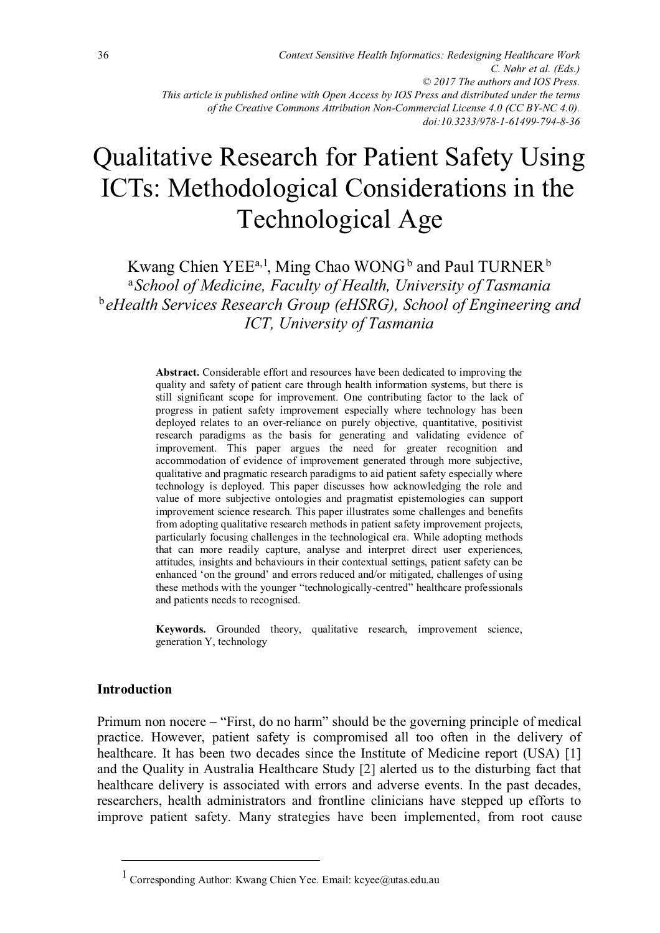*doi:10.3233/978-1-61499-794-8-36*

# Qualitative Research for Patient Safety Using ICTs: Methodological Considerations in the Technological Age

Kwang Chien YEE<sup>a, 1</sup>, Ming Chao WONG<sup>b</sup> and Paul TURNER<sup>b</sup> <sup>a</sup>*School of Medicine, Faculty of Health, University of Tasmania*  <sup>b</sup> *eHealth Services Research Group (eHSRG), School of Engineering and ICT, University of Tasmania* 

> **Abstract.** Considerable effort and resources have been dedicated to improving the quality and safety of patient care through health information systems, but there is still significant scope for improvement. One contributing factor to the lack of progress in patient safety improvement especially where technology has been deployed relates to an over-reliance on purely objective, quantitative, positivist research paradigms as the basis for generating and validating evidence of improvement. This paper argues the need for greater recognition and accommodation of evidence of improvement generated through more subjective, qualitative and pragmatic research paradigms to aid patient safety especially where technology is deployed. This paper discusses how acknowledging the role and value of more subjective ontologies and pragmatist epistemologies can support improvement science research. This paper illustrates some challenges and benefits from adopting qualitative research methods in patient safety improvement projects, particularly focusing challenges in the technological era. While adopting methods that can more readily capture, analyse and interpret direct user experiences, attitudes, insights and behaviours in their contextual settings, patient safety can be enhanced 'on the ground' and errors reduced and/or mitigated, challenges of using these methods with the younger "technologically-centred" healthcare professionals and patients needs to recognised.

> **Keywords.** Grounded theory, qualitative research, improvement science, generation Y, technology

#### **Introduction**

 $\overline{a}$ 

Primum non nocere – "First, do no harm" should be the governing principle of medical practice. However, patient safety is compromised all too often in the delivery of healthcare. It has been two decades since the Institute of Medicine report (USA) [1] and the Quality in Australia Healthcare Study [2] alerted us to the disturbing fact that healthcare delivery is associated with errors and adverse events. In the past decades, researchers, health administrators and frontline clinicians have stepped up efforts to improve patient safety. Many strategies have been implemented, from root cause

<sup>1</sup> Corresponding Author: Kwang Chien Yee. Email: kcyee@utas.edu.au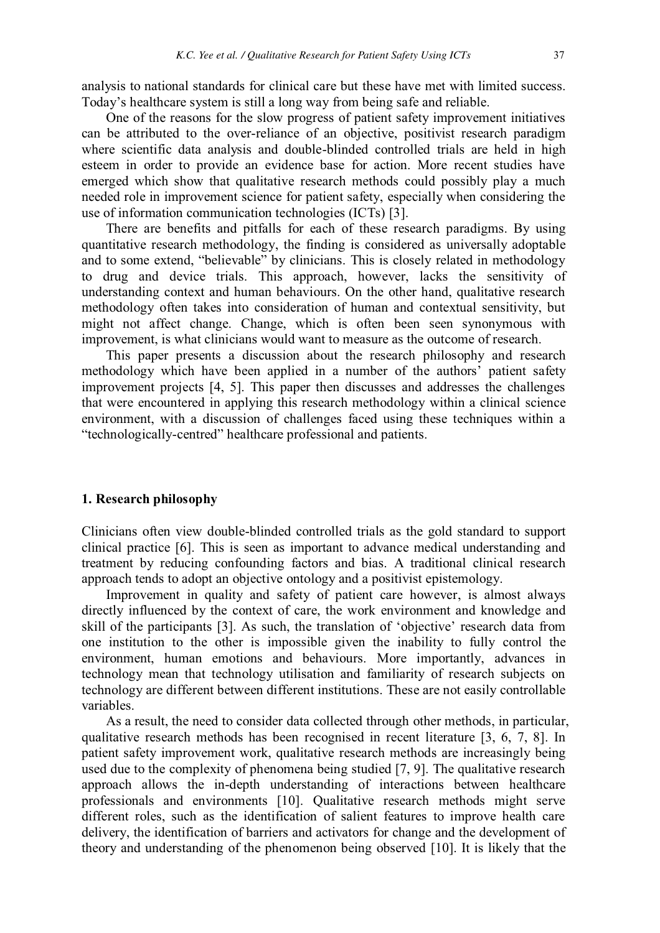analysis to national standards for clinical care but these have met with limited success. Today's healthcare system is still a long way from being safe and reliable.

One of the reasons for the slow progress of patient safety improvement initiatives can be attributed to the over-reliance of an objective, positivist research paradigm where scientific data analysis and double-blinded controlled trials are held in high esteem in order to provide an evidence base for action. More recent studies have emerged which show that qualitative research methods could possibly play a much needed role in improvement science for patient safety, especially when considering the use of information communication technologies (ICTs) [3].

There are benefits and pitfalls for each of these research paradigms. By using quantitative research methodology, the finding is considered as universally adoptable and to some extend, "believable" by clinicians. This is closely related in methodology to drug and device trials. This approach, however, lacks the sensitivity of understanding context and human behaviours. On the other hand, qualitative research methodology often takes into consideration of human and contextual sensitivity, but might not affect change. Change, which is often been seen synonymous with improvement, is what clinicians would want to measure as the outcome of research.

This paper presents a discussion about the research philosophy and research methodology which have been applied in a number of the authors' patient safety improvement projects [4, 5]. This paper then discusses and addresses the challenges that were encountered in applying this research methodology within a clinical science environment, with a discussion of challenges faced using these techniques within a "technologically-centred" healthcare professional and patients.

#### **1. Research philosophy**

Clinicians often view double-blinded controlled trials as the gold standard to support clinical practice [6]. This is seen as important to advance medical understanding and treatment by reducing confounding factors and bias. A traditional clinical research approach tends to adopt an objective ontology and a positivist epistemology.

Improvement in quality and safety of patient care however, is almost always directly influenced by the context of care, the work environment and knowledge and skill of the participants [3]. As such, the translation of 'objective' research data from one institution to the other is impossible given the inability to fully control the environment, human emotions and behaviours. More importantly, advances in technology mean that technology utilisation and familiarity of research subjects on technology are different between different institutions. These are not easily controllable variables.

As a result, the need to consider data collected through other methods, in particular, qualitative research methods has been recognised in recent literature [3, 6, 7, 8]. In patient safety improvement work, qualitative research methods are increasingly being used due to the complexity of phenomena being studied [7, 9]. The qualitative research approach allows the in-depth understanding of interactions between healthcare professionals and environments [10]. Qualitative research methods might serve different roles, such as the identification of salient features to improve health care delivery, the identification of barriers and activators for change and the development of theory and understanding of the phenomenon being observed [10]. It is likely that the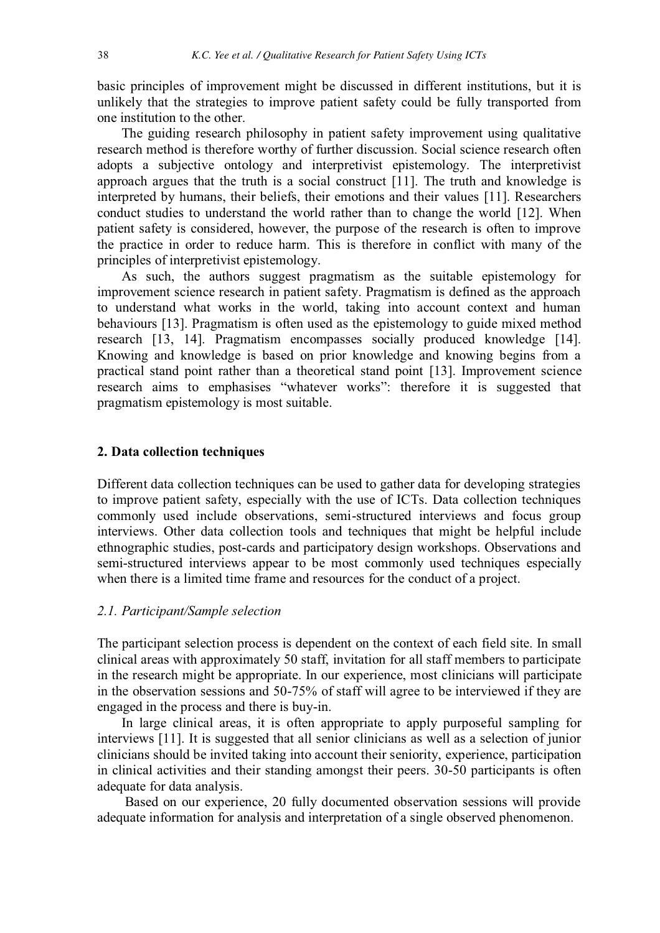basic principles of improvement might be discussed in different institutions, but it is unlikely that the strategies to improve patient safety could be fully transported from one institution to the other.

The guiding research philosophy in patient safety improvement using qualitative research method is therefore worthy of further discussion. Social science research often adopts a subjective ontology and interpretivist epistemology. The interpretivist approach argues that the truth is a social construct [11]. The truth and knowledge is interpreted by humans, their beliefs, their emotions and their values [11]. Researchers conduct studies to understand the world rather than to change the world [12]. When patient safety is considered, however, the purpose of the research is often to improve the practice in order to reduce harm. This is therefore in conflict with many of the principles of interpretivist epistemology.

As such, the authors suggest pragmatism as the suitable epistemology for improvement science research in patient safety. Pragmatism is defined as the approach to understand what works in the world, taking into account context and human behaviours [13]. Pragmatism is often used as the epistemology to guide mixed method research [13, 14]. Pragmatism encompasses socially produced knowledge [14]. Knowing and knowledge is based on prior knowledge and knowing begins from a practical stand point rather than a theoretical stand point [13]. Improvement science research aims to emphasises "whatever works": therefore it is suggested that pragmatism epistemology is most suitable.

## **2. Data collection techniques**

Different data collection techniques can be used to gather data for developing strategies to improve patient safety, especially with the use of ICTs. Data collection techniques commonly used include observations, semi-structured interviews and focus group interviews. Other data collection tools and techniques that might be helpful include ethnographic studies, post-cards and participatory design workshops. Observations and semi-structured interviews appear to be most commonly used techniques especially when there is a limited time frame and resources for the conduct of a project.

## *2.1. Participant/Sample selection*

The participant selection process is dependent on the context of each field site. In small clinical areas with approximately 50 staff, invitation for all staff members to participate in the research might be appropriate. In our experience, most clinicians will participate in the observation sessions and 50-75% of staff will agree to be interviewed if they are engaged in the process and there is buy-in.

In large clinical areas, it is often appropriate to apply purposeful sampling for interviews [11]. It is suggested that all senior clinicians as well as a selection of junior clinicians should be invited taking into account their seniority, experience, participation in clinical activities and their standing amongst their peers. 30-50 participants is often adequate for data analysis.

 Based on our experience, 20 fully documented observation sessions will provide adequate information for analysis and interpretation of a single observed phenomenon.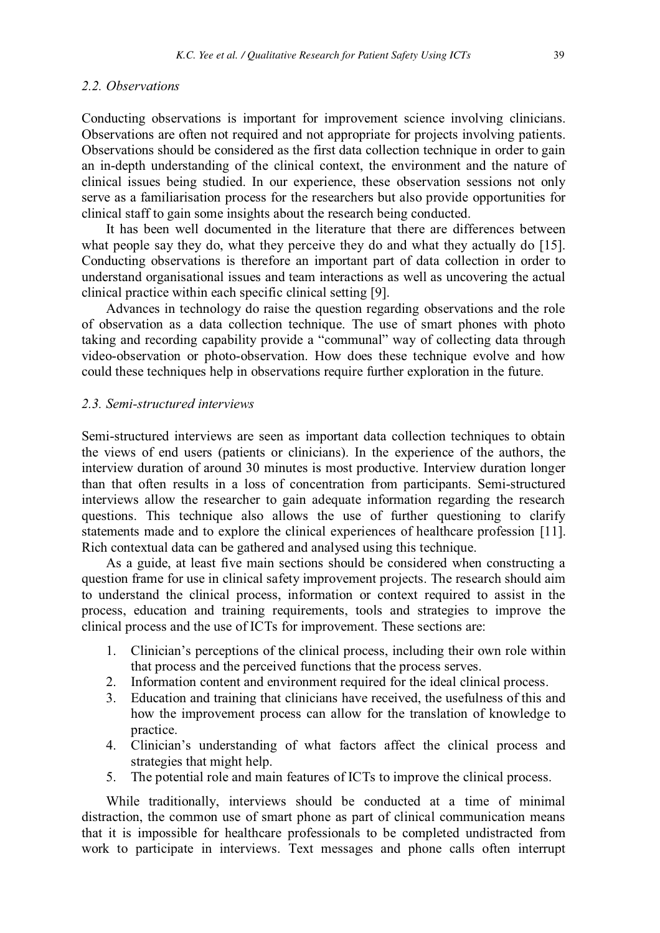#### *2.2. Observations*

Conducting observations is important for improvement science involving clinicians. Observations are often not required and not appropriate for projects involving patients. Observations should be considered as the first data collection technique in order to gain an in-depth understanding of the clinical context, the environment and the nature of clinical issues being studied. In our experience, these observation sessions not only serve as a familiarisation process for the researchers but also provide opportunities for clinical staff to gain some insights about the research being conducted.

It has been well documented in the literature that there are differences between what people say they do, what they perceive they do and what they actually do [15]. Conducting observations is therefore an important part of data collection in order to understand organisational issues and team interactions as well as uncovering the actual clinical practice within each specific clinical setting [9].

Advances in technology do raise the question regarding observations and the role of observation as a data collection technique. The use of smart phones with photo taking and recording capability provide a "communal" way of collecting data through video-observation or photo-observation. How does these technique evolve and how could these techniques help in observations require further exploration in the future.

## *2.3. Semi-structured interviews*

Semi-structured interviews are seen as important data collection techniques to obtain the views of end users (patients or clinicians). In the experience of the authors, the interview duration of around 30 minutes is most productive. Interview duration longer than that often results in a loss of concentration from participants. Semi-structured interviews allow the researcher to gain adequate information regarding the research questions. This technique also allows the use of further questioning to clarify statements made and to explore the clinical experiences of healthcare profession [11]. Rich contextual data can be gathered and analysed using this technique.

As a guide, at least five main sections should be considered when constructing a question frame for use in clinical safety improvement projects. The research should aim to understand the clinical process, information or context required to assist in the process, education and training requirements, tools and strategies to improve the clinical process and the use of ICTs for improvement. These sections are:

- 1. Clinician's perceptions of the clinical process, including their own role within that process and the perceived functions that the process serves.
- 2. Information content and environment required for the ideal clinical process.
- 3. Education and training that clinicians have received, the usefulness of this and how the improvement process can allow for the translation of knowledge to practice.
- 4. Clinician's understanding of what factors affect the clinical process and strategies that might help.
- 5. The potential role and main features of ICTs to improve the clinical process.

While traditionally, interviews should be conducted at a time of minimal distraction, the common use of smart phone as part of clinical communication means that it is impossible for healthcare professionals to be completed undistracted from work to participate in interviews. Text messages and phone calls often interrupt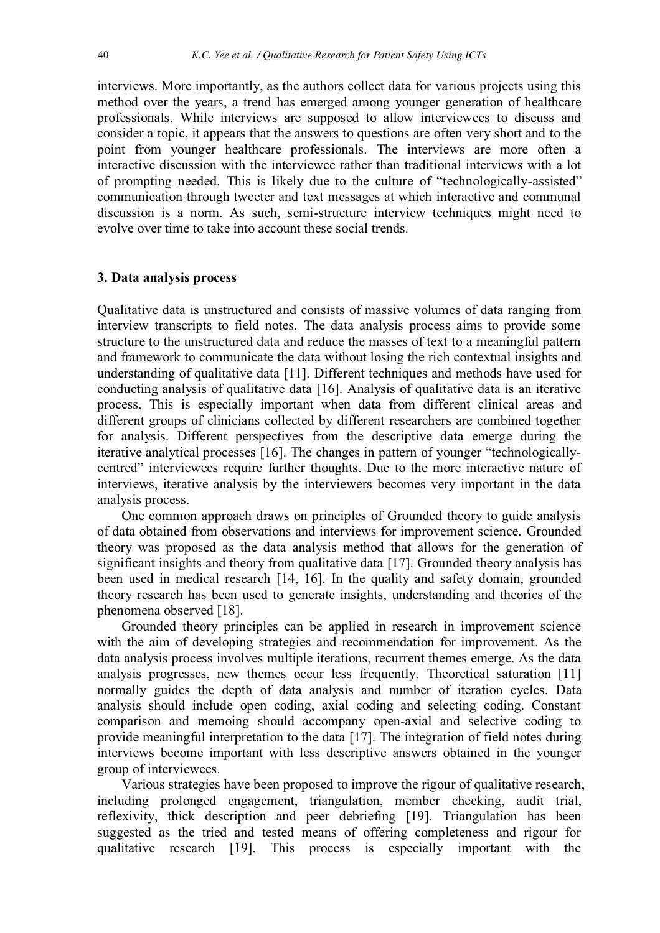interviews. More importantly, as the authors collect data for various projects using this method over the years, a trend has emerged among younger generation of healthcare professionals. While interviews are supposed to allow interviewees to discuss and consider a topic, it appears that the answers to questions are often very short and to the point from younger healthcare professionals. The interviews are more often a interactive discussion with the interviewee rather than traditional interviews with a lot of prompting needed. This is likely due to the culture of "technologically-assisted" communication through tweeter and text messages at which interactive and communal discussion is a norm. As such, semi-structure interview techniques might need to evolve over time to take into account these social trends.

## **3. Data analysis process**

Qualitative data is unstructured and consists of massive volumes of data ranging from interview transcripts to field notes. The data analysis process aims to provide some structure to the unstructured data and reduce the masses of text to a meaningful pattern and framework to communicate the data without losing the rich contextual insights and understanding of qualitative data [11]. Different techniques and methods have used for conducting analysis of qualitative data [16]. Analysis of qualitative data is an iterative process. This is especially important when data from different clinical areas and different groups of clinicians collected by different researchers are combined together for analysis. Different perspectives from the descriptive data emerge during the iterative analytical processes [16]. The changes in pattern of younger "technologicallycentred" interviewees require further thoughts. Due to the more interactive nature of interviews, iterative analysis by the interviewers becomes very important in the data analysis process.

One common approach draws on principles of Grounded theory to guide analysis of data obtained from observations and interviews for improvement science. Grounded theory was proposed as the data analysis method that allows for the generation of significant insights and theory from qualitative data [17]. Grounded theory analysis has been used in medical research [14, 16]. In the quality and safety domain, grounded theory research has been used to generate insights, understanding and theories of the phenomena observed [18].

Grounded theory principles can be applied in research in improvement science with the aim of developing strategies and recommendation for improvement. As the data analysis process involves multiple iterations, recurrent themes emerge. As the data analysis progresses, new themes occur less frequently. Theoretical saturation [11] normally guides the depth of data analysis and number of iteration cycles. Data analysis should include open coding, axial coding and selecting coding. Constant comparison and memoing should accompany open-axial and selective coding to provide meaningful interpretation to the data [17]. The integration of field notes during interviews become important with less descriptive answers obtained in the younger group of interviewees.

Various strategies have been proposed to improve the rigour of qualitative research, including prolonged engagement, triangulation, member checking, audit trial, reflexivity, thick description and peer debriefing [19]. Triangulation has been suggested as the tried and tested means of offering completeness and rigour for qualitative research [19]. This process is especially important with the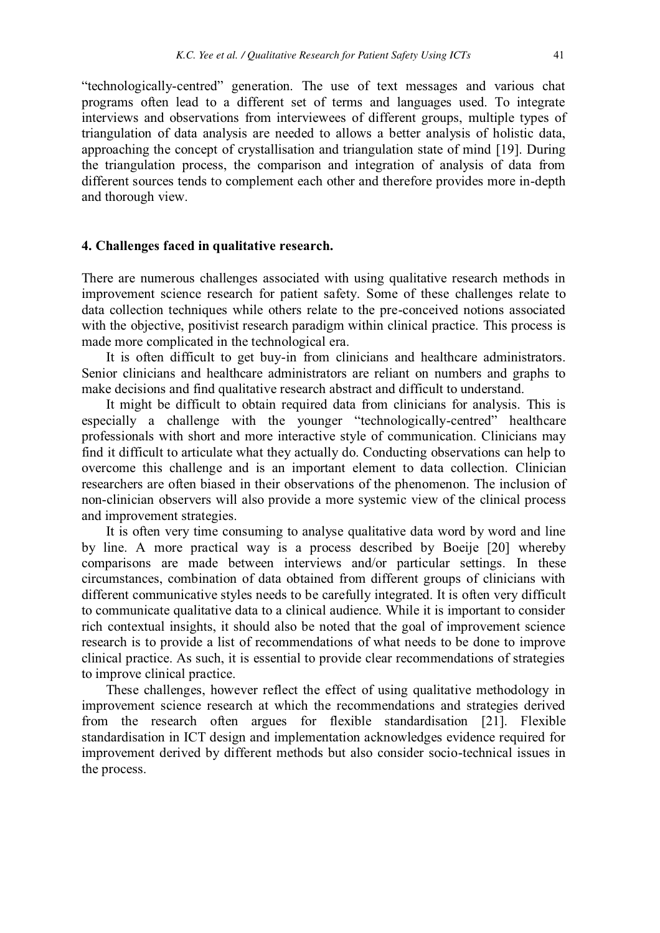"technologically-centred" generation. The use of text messages and various chat programs often lead to a different set of terms and languages used. To integrate interviews and observations from interviewees of different groups, multiple types of triangulation of data analysis are needed to allows a better analysis of holistic data, approaching the concept of crystallisation and triangulation state of mind [19]. During the triangulation process, the comparison and integration of analysis of data from different sources tends to complement each other and therefore provides more in-depth and thorough view.

#### **4. Challenges faced in qualitative research.**

There are numerous challenges associated with using qualitative research methods in improvement science research for patient safety. Some of these challenges relate to data collection techniques while others relate to the pre-conceived notions associated with the objective, positivist research paradigm within clinical practice. This process is made more complicated in the technological era.

It is often difficult to get buy-in from clinicians and healthcare administrators. Senior clinicians and healthcare administrators are reliant on numbers and graphs to make decisions and find qualitative research abstract and difficult to understand.

It might be difficult to obtain required data from clinicians for analysis. This is especially a challenge with the younger "technologically-centred" healthcare professionals with short and more interactive style of communication. Clinicians may find it difficult to articulate what they actually do. Conducting observations can help to overcome this challenge and is an important element to data collection. Clinician researchers are often biased in their observations of the phenomenon. The inclusion of non-clinician observers will also provide a more systemic view of the clinical process and improvement strategies.

It is often very time consuming to analyse qualitative data word by word and line by line. A more practical way is a process described by Boeije [20] whereby comparisons are made between interviews and/or particular settings. In these circumstances, combination of data obtained from different groups of clinicians with different communicative styles needs to be carefully integrated. It is often very difficult to communicate qualitative data to a clinical audience. While it is important to consider rich contextual insights, it should also be noted that the goal of improvement science research is to provide a list of recommendations of what needs to be done to improve clinical practice. As such, it is essential to provide clear recommendations of strategies to improve clinical practice.

These challenges, however reflect the effect of using qualitative methodology in improvement science research at which the recommendations and strategies derived from the research often argues for flexible standardisation [21]. Flexible standardisation in ICT design and implementation acknowledges evidence required for improvement derived by different methods but also consider socio-technical issues in the process.